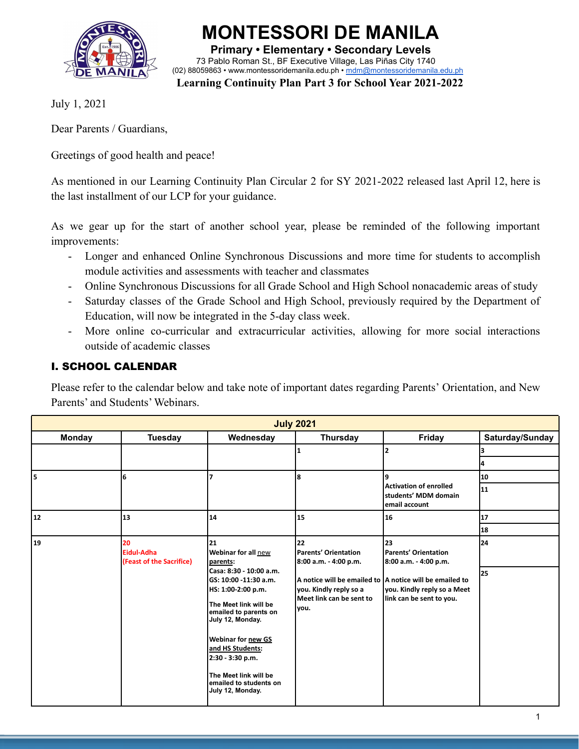

**Primary • Elementary • Secondary Levels** 73 Pablo Roman St., BF Executive Village, Las Piñas City 1740 (02) 88059863 • [www.montessoridemanila.edu.ph](http://www.montessoridemanila.edu.ph) • [mdm@montessoridemanila.edu.ph](mailto:mdm@montessoridemanila.edu.ph)

**MONTESSORI DE MANILA**

**Learning Continuity Plan Part 3 for School Year 2021-2022**

July 1, 2021

Dear Parents / Guardians,

Greetings of good health and peace!

As mentioned in our Learning Continuity Plan Circular 2 for SY 2021-2022 released last April 12, here is the last installment of our LCP for your guidance.

As we gear up for the start of another school year, please be reminded of the following important improvements:

- Longer and enhanced Online Synchronous Discussions and more time for students to accomplish module activities and assessments with teacher and classmates
- Online Synchronous Discussions for all Grade School and High School nonacademic areas of study
- Saturday classes of the Grade School and High School, previously required by the Department of Education, will now be integrated in the 5-day class week.
- More online co-curricular and extracurricular activities, allowing for more social interactions outside of academic classes

# I. SCHOOL CALENDAR

Please refer to the calendar below and take note of important dates regarding Parents' Orientation, and New Parents' and Students' Webinars.

| <b>July 2021</b> |                                              |                                                                                                                                                                                                                                                                                                                                           |                                                                                                                   |                                                                                                                                                                           |                 |  |
|------------------|----------------------------------------------|-------------------------------------------------------------------------------------------------------------------------------------------------------------------------------------------------------------------------------------------------------------------------------------------------------------------------------------------|-------------------------------------------------------------------------------------------------------------------|---------------------------------------------------------------------------------------------------------------------------------------------------------------------------|-----------------|--|
| <b>Monday</b>    | <b>Tuesday</b>                               | Wednesday                                                                                                                                                                                                                                                                                                                                 | <b>Thursday</b>                                                                                                   | Friday                                                                                                                                                                    | Saturday/Sunday |  |
|                  |                                              |                                                                                                                                                                                                                                                                                                                                           |                                                                                                                   | $\overline{2}$                                                                                                                                                            |                 |  |
|                  |                                              |                                                                                                                                                                                                                                                                                                                                           |                                                                                                                   |                                                                                                                                                                           |                 |  |
| ls.              | 6                                            | 7                                                                                                                                                                                                                                                                                                                                         | 8                                                                                                                 | 9                                                                                                                                                                         | 10              |  |
|                  |                                              |                                                                                                                                                                                                                                                                                                                                           |                                                                                                                   | <b>Activation of enrolled</b><br>students' MDM domain<br>email account                                                                                                    | 11              |  |
| 12               | 13                                           | 14                                                                                                                                                                                                                                                                                                                                        | 15                                                                                                                | 16                                                                                                                                                                        | 17              |  |
|                  |                                              |                                                                                                                                                                                                                                                                                                                                           |                                                                                                                   |                                                                                                                                                                           | 18              |  |
| 19               | 20<br>Eidul-Adha<br>(Feast of the Sacrifice) | 21<br><b>Webinar for all new</b><br>parents:<br>Casa: 8:30 - 10:00 a.m.<br>lGS: 10:00 -11:30 a.m.<br>HS: 1:00-2:00 p.m.<br>The Meet link will be<br>emailed to parents on<br>July 12, Monday.<br><b>Webinar for new GS</b><br>and HS Students:<br>2:30 - 3:30 p.m.<br>The Meet link will be<br>emailed to students on<br>July 12, Monday. | 22<br>Parents' Orientation<br>8:00 a.m. - 4:00 p.m.<br>you. Kindly reply so a<br>Meet link can be sent to<br>you. | 23<br>Parents' Orientation<br>8:00 a.m. - 4:00 p.m.<br>A notice will be emailed to A notice will be emailed to<br>you. Kindly reply so a Meet<br>link can be sent to you. | 24<br>125       |  |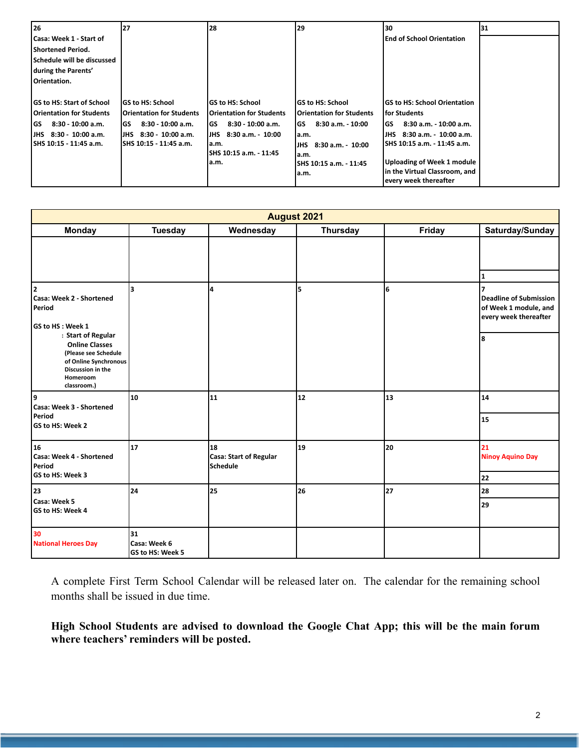| l 26                              | 27                               | 28                              | 29                              | 130                              | 131 |
|-----------------------------------|----------------------------------|---------------------------------|---------------------------------|----------------------------------|-----|
| l Casa: Week 1 - Start of         |                                  |                                 |                                 | <b>End of School Orientation</b> |     |
| l Shortened Period.               |                                  |                                 |                                 |                                  |     |
| <b>Schedule will be discussed</b> |                                  |                                 |                                 |                                  |     |
| during the Parents'               |                                  |                                 |                                 |                                  |     |
| Orientation.                      |                                  |                                 |                                 |                                  |     |
|                                   |                                  |                                 |                                 |                                  |     |
| <b>IGS to HS: Start of School</b> | <b>IGS to HS: School</b>         | lGS to HS: School               | lGS to HS: School               | lGS to HS: School Orientation    |     |
| l Orientation for Students        | <b>IOrientation for Students</b> | Orientation for Students        | <b>Orientation for Students</b> | l for Students                   |     |
| 8:30 - 10:00 a.m.<br>lGS          | lGS<br>$8:30 - 10:00$ a.m.       | 8:30 - 10:00 a.m.<br>l GS       | $8:30$ a.m. $-10:00$<br>GS      | 8:30 a.m. - 10:00 a.m.<br>l GS   |     |
| IJHS 8:30 - 10:00 a.m.            | IJHS 8:30 - 10:00 a.m.           | 8:30 a.m. - 10:00<br><b>JHS</b> | la.m.                           | IJHS 8:30 a.m. 10:00 a.m.        |     |
| ISHS 10:15 - 11:45 a.m.           | ISHS 10:15 - 11:45 a.m.          | la.m.                           | 8:30 a.m. - 10:00<br><b>JHS</b> | ISHS 10:15 a.m. - 11:45 a.m.     |     |
|                                   |                                  | SHS 10:15 a.m. - 11:45          | a.m.                            |                                  |     |
|                                   |                                  | a.m.                            | SHS 10:15 a.m. 11:45            | Uploading of Week 1 module       |     |
|                                   |                                  |                                 | la.m.                           | in the Virtual Classroom, and    |     |
|                                   |                                  |                                 |                                 | every week thereafter            |     |

| <b>August 2021</b>                                                                                                     |                                        |                                          |                 |        |                                                                                      |
|------------------------------------------------------------------------------------------------------------------------|----------------------------------------|------------------------------------------|-----------------|--------|--------------------------------------------------------------------------------------|
| <b>Monday</b>                                                                                                          | <b>Tuesday</b>                         | Wednesday                                | <b>Thursday</b> | Friday | Saturday/Sunday                                                                      |
|                                                                                                                        |                                        |                                          |                 |        | $\mathbf{1}$                                                                         |
| 12<br>Casa: Week 2 - Shortened<br>Period<br>GS to HS : Week 1<br>: Start of Regular                                    | 3                                      | 4                                        | 5               | 6      | <b>Deadline of Submission</b><br>of Week 1 module, and<br>every week thereafter<br>8 |
| <b>Online Classes</b><br>(Please see Schedule<br>of Online Synchronous<br>Discussion in the<br>Homeroom<br>classroom.) |                                        |                                          |                 |        |                                                                                      |
| 9<br>Casa: Week 3 - Shortened                                                                                          | 10                                     | 11                                       | 12              | 13     | 14                                                                                   |
| Period<br>GS to HS: Week 2                                                                                             |                                        |                                          |                 |        | 15                                                                                   |
| 16<br>Casa: Week 4 - Shortened<br>Period<br>GS to HS: Week 3                                                           | 17                                     | 18<br>Casa: Start of Regular<br>Schedule | 19              | 20     | 21<br><b>Ninoy Aquino Day</b><br>22                                                  |
| 23                                                                                                                     | 24                                     | 25                                       | 26              | 27     | 28                                                                                   |
| Casa: Week 5<br>GS to HS: Week 4                                                                                       |                                        |                                          |                 |        | 29                                                                                   |
| 30<br><b>National Heroes Day</b>                                                                                       | 31<br>Casa: Week 6<br>GS to HS: Week 5 |                                          |                 |        |                                                                                      |

A complete First Term School Calendar will be released later on. The calendar for the remaining school months shall be issued in due time.

**High School Students are advised to download the Google Chat App; this will be the main forum where teachers' reminders will be posted.**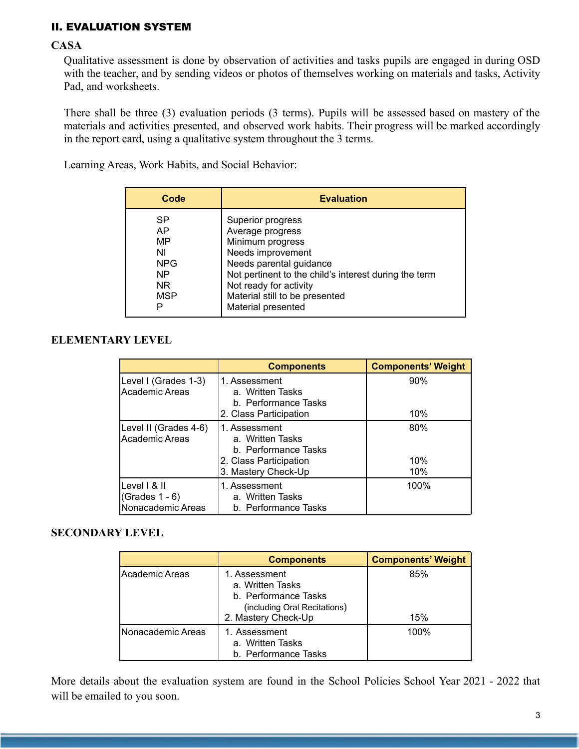# II. EVALUATION SYSTEM

### **CASA**

Qualitative assessment is done by observation of activities and tasks pupils are engaged in during OSD with the teacher, and by sending videos or photos of themselves working on materials and tasks, Activity Pad, and worksheets.

There shall be three (3) evaluation periods (3 terms). Pupils will be assessed based on mastery of the materials and activities presented, and observed work habits. Their progress will be marked accordingly in the report card, using a qualitative system throughout the 3 terms.

Learning Areas, Work Habits, and Social Behavior:

| Code       | <b>Evaluation</b>                                     |
|------------|-------------------------------------------------------|
| <b>SP</b>  | Superior progress                                     |
| AP.        | Average progress                                      |
| MP         | Minimum progress                                      |
| ΝI         | Needs improvement                                     |
| <b>NPG</b> | Needs parental guidance                               |
| NP.        | Not pertinent to the child's interest during the term |
| NR.        | Not ready for activity                                |
| <b>MSP</b> | Material still to be presented                        |
| Р          | Material presented                                    |

## **ELEMENTARY LEVEL**

|                                                        | <b>Components</b>                                                                   | <b>Components' Weight</b> |
|--------------------------------------------------------|-------------------------------------------------------------------------------------|---------------------------|
| Level I (Grades 1-3)<br>Academic Areas                 | 1. Assessment<br>a. Written Tasks<br>b. Performance Tasks                           | 90%                       |
|                                                        | 2. Class Participation                                                              | 10%                       |
| Level II (Grades 4-6)<br>Academic Areas                | 1. Assessment<br>a. Written Tasks<br>b. Performance Tasks<br>2. Class Participation | 80%<br>10%                |
|                                                        | 3. Mastery Check-Up                                                                 | 10%                       |
| Level I & II<br>(Grades $1 - 6$ )<br>Nonacademic Areas | 1. Assessment<br>a. Written Tasks<br>b. Performance Tasks                           | 100%                      |

### **SECONDARY LEVEL**

|                   | <b>Components</b>                                                                                                | <b>Components' Weight</b> |
|-------------------|------------------------------------------------------------------------------------------------------------------|---------------------------|
| Academic Areas    | 1. Assessment<br>a. Written Tasks<br>b. Performance Tasks<br>(including Oral Recitations)<br>2. Mastery Check-Up | 85%<br>15%                |
| Nonacademic Areas | 1. Assessment<br>a. Written Tasks<br>b. Performance Tasks                                                        | 100%                      |

More details about the evaluation system are found in the School Policies School Year 2021 - 2022 that will be emailed to you soon.